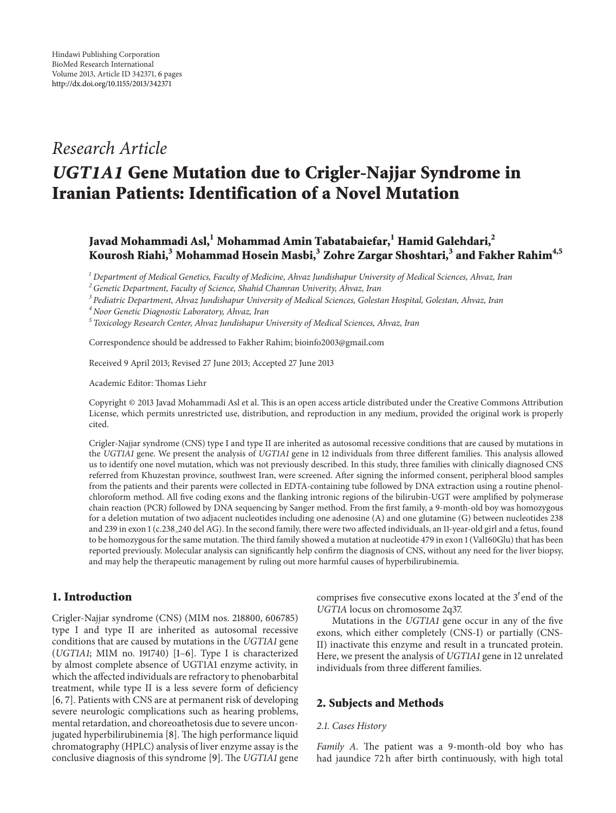## *Research Article*

# *UGT1A1* **Gene Mutation due to Crigler-Najjar Syndrome in Iranian Patients: Identification of a Novel Mutation**

### **Javad Mohammadi Asl,<sup>1</sup> Mohammad Amin Tabatabaiefar,<sup>1</sup> Hamid Galehdari,2 Kourosh Riahi,<sup>3</sup> Mohammad Hosein Masbi,3 Zohre Zargar Shoshtari,<sup>3</sup> and Fakher Rahim4,5**

*<sup>1</sup> Department of Medical Genetics, Faculty of Medicine, Ahvaz Jundishapur University of Medical Sciences, Ahvaz, Iran*

Correspondence should be addressed to Fakher Rahim; bioinfo2003@gmail.com

Received 9 April 2013; Revised 27 June 2013; Accepted 27 June 2013

Academic Editor: Thomas Liehr

Copyright © 2013 Javad Mohammadi Asl et al. This is an open access article distributed under the Creative Commons Attribution License, which permits unrestricted use, distribution, and reproduction in any medium, provided the original work is properly cited.

Crigler-Najjar syndrome (CNS) type I and type II are inherited as autosomal recessive conditions that are caused by mutations in the *UGT1A1* gene. We present the analysis of *UGT1A1* gene in 12 individuals from three different families. This analysis allowed us to identify one novel mutation, which was not previously described. In this study, three families with clinically diagnosed CNS referred from Khuzestan province, southwest Iran, were screened. After signing the informed consent, peripheral blood samples from the patients and their parents were collected in EDTA-containing tube followed by DNA extraction using a routine phenolchloroform method. All five coding exons and the flanking intronic regions of the bilirubin-UGT were amplified by polymerase chain reaction (PCR) followed by DNA sequencing by Sanger method. From the first family, a 9-month-old boy was homozygous for a deletion mutation of two adjacent nucleotides including one adenosine (A) and one glutamine (G) between nucleotides 238 and 239 in exon 1 (c.238 240 del AG). In the second family, there were two affected individuals, an 11-year-old girl and a fetus, found to be homozygous for the same mutation. The third family showed a mutation at nucleotide 479 in exon 1 (Val160Glu) that has been reported previously. Molecular analysis can significantly help confirm the diagnosis of CNS, without any need for the liver biopsy, and may help the therapeutic management by ruling out more harmful causes of hyperbilirubinemia.

#### **1. Introduction**

Crigler-Najjar syndrome (CNS) (MIM nos. 218800, 606785) type I and type II are inherited as autosomal recessive conditions that are caused by mutations in the *UGT1A1* gene (*UGT1A1*; MIM no. 191740) [\[1](#page-4-1)[–6\]](#page-4-2). Type I is characterized by almost complete absence of UGT1A1 enzyme activity, in which the affected individuals are refractory to phenobarbital treatment, while type II is a less severe form of deficiency [\[6,](#page-4-2) [7](#page-4-3)]. Patients with CNS are at permanent risk of developing severe neurologic complications such as hearing problems, mental retardation, and choreoathetosis due to severe unconjugated hyperbilirubinemia [\[8](#page-4-4)]. The high performance liquid chromatography (HPLC) analysis of liver enzyme assay is the conclusive diagnosis of this syndrome [\[9\]](#page-4-5). The *UGT1A1* gene

comprises five consecutive exons located at the 3'end of the *UGT1A* locus on chromosome 2q37.

Mutations in the *UGT1A1* gene occur in any of the five exons, which either completely (CNS-I) or partially (CNS-II) inactivate this enzyme and result in a truncated protein. Here, we present the analysis of *UGT1A1* gene in 12 unrelated individuals from three different families.

#### **2. Subjects and Methods**

#### *2.1. Cases History*

*Family A.* The patient was a 9-month-old boy who has had jaundice 72 h after birth continuously, with high total

*<sup>2</sup>Genetic Department, Faculty of Science, Shahid Chamran Univerity, Ahvaz, Iran*

*<sup>3</sup> Pediatric Department, Ahvaz Jundishapur University of Medical Sciences, Golestan Hospital, Golestan, Ahvaz, Iran*

*<sup>4</sup> Noor Genetic Diagnostic Laboratory, Ahvaz, Iran*

*<sup>5</sup> Toxicology Research Center, Ahvaz Jundishapur University of Medical Sciences, Ahvaz, Iran*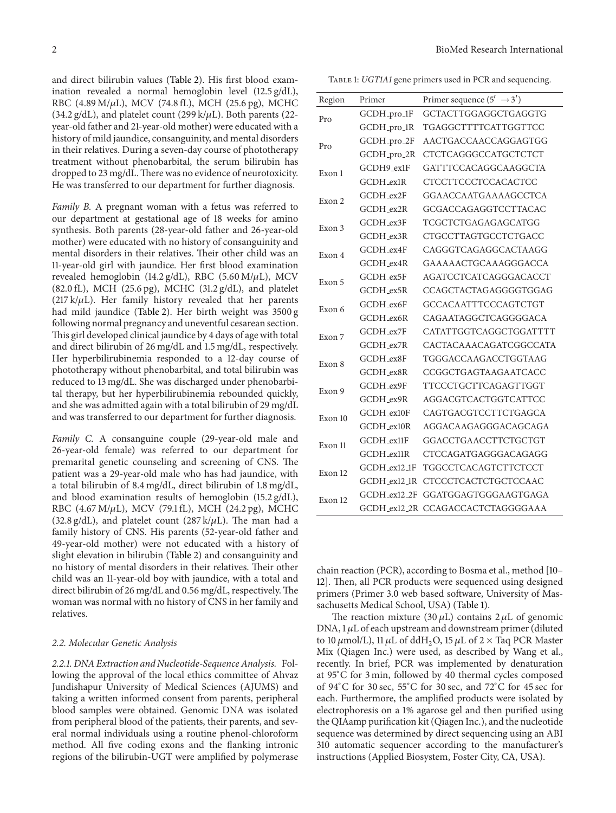and direct bilirubin values [\(Table 2\)](#page-2-0). His first blood examination revealed a normal hemoglobin level (12.5 g/dL), RBC (4.89 M/ $\mu$ L), MCV (74.8 fL), MCH (25.6 pg), MCHC  $(34.2 \text{ g/dL})$ , and platelet count  $(299 \text{ k}/\mu\text{L})$ . Both parents  $(22-\mu\text{L})$ year-old father and 21-year-old mother) were educated with a history of mild jaundice, consanguinity, and mental disorders in their relatives. During a seven-day course of phototherapy treatment without phenobarbital, the serum bilirubin has dropped to 23 mg/dL. There was no evidence of neurotoxicity. He was transferred to our department for further diagnosis.

*Family B.* A pregnant woman with a fetus was referred to our department at gestational age of 18 weeks for amino synthesis. Both parents (28-year-old father and 26-year-old mother) were educated with no history of consanguinity and mental disorders in their relatives. Their other child was an 11-year-old girl with jaundice. Her first blood examination revealed hemoglobin (14.2 g/dL), RBC (5.60 M/ $\mu$ L), MCV (82.0 fL), MCH (25.6 pg), MCHC (31.2 g/dL), and platelet (217 k/ $\mu$ L). Her family history revealed that her parents had mild jaundice [\(Table 2\)](#page-2-0). Her birth weight was 3500 g following normal pregnancy and uneventful cesarean section. This girl developed clinical jaundice by 4 days of age with total and direct bilirubin of 26 mg/dL and 1.5 mg/dL, respectively. Her hyperbilirubinemia responded to a 12-day course of phototherapy without phenobarbital, and total bilirubin was reduced to 13 mg/dL. She was discharged under phenobarbital therapy, but her hyperbilirubinemia rebounded quickly, and she was admitted again with a total bilirubin of 29 mg/dL and was transferred to our department for further diagnosis.

*Family C.* A consanguine couple (29-year-old male and 26-year-old female) was referred to our department for premarital genetic counseling and screening of CNS. The patient was a 29-year-old male who has had jaundice, with a total bilirubin of 8.4 mg/dL, direct bilirubin of 1.8 mg/dL, and blood examination results of hemoglobin (15.2 g/dL), RBC  $(4.67 \text{ M}/\mu\text{L})$ , MCV  $(79.1 \text{ fL})$ , MCH  $(24.2 \text{ pg})$ , MCHC (32.8 g/dL), and platelet count (287 k/ $\mu$ L). The man had a family history of CNS. His parents (52-year-old father and 49-year-old mother) were not educated with a history of slight elevation in bilirubin [\(Table 2\)](#page-2-0) and consanguinity and no history of mental disorders in their relatives. Their other child was an 11-year-old boy with jaundice, with a total and direct bilirubin of 26 mg/dL and 0.56 mg/dL, respectively. The woman was normal with no history of CNS in her family and relatives.

#### *2.2. Molecular Genetic Analysis*

*2.2.1. DNA Extraction and Nucleotide-Sequence Analysis.* Following the approval of the local ethics committee of Ahvaz Jundishapur University of Medical Sciences (AJUMS) and taking a written informed consent from parents, peripheral blood samples were obtained. Genomic DNA was isolated from peripheral blood of the patients, their parents, and several normal individuals using a routine phenol-chloroform method. All five coding exons and the flanking intronic regions of the bilirubin-UGT were amplified by polymerase

<span id="page-1-0"></span>Table 1: *UGT1A1* gene primers used in PCR and sequencing.

| Region  | Primer       | Primer sequence $(5' \rightarrow 3')$ |
|---------|--------------|---------------------------------------|
| Pro     | GCDH_pro_1F  | GCTACTTGGAGGCTGAGGTG                  |
|         | GCDH_pro_1R  | TGAGGCTTTTCATTGGTTCC                  |
| Pro     | GCDH_pro_2F  | AACTGACCAACCAGGAGTGG                  |
|         | GCDH_pro_2R  | <b>CTCTCAGGGCCATGCTCTCT</b>           |
| Exon 1  | GCDH9_ex1F   | GATTTCCACAGGCAAGGCTA                  |
|         | GCDH ex1R    | <b>CTCCTTCCCTCCACACTCC</b>            |
| Exon 2  | GCDH_ex2F    | GGAACCAATGAAAAGCCTCA                  |
|         | GCDH_ex2R    | GCGACCAGAGGTCCTTACAC                  |
| Exon 3  | GCDH ex3F    | <b>TCGCTCTGAGAGAGCATGG</b>            |
|         | GCDH_ex3R    | <b>CTGCCTTAGTGCCTCTGACC</b>           |
| Exon 4  | GCDH_ex4F    | CAGGGTCAGAGGCACTAAGG                  |
|         | GCDH ex4R    | GAAAAACTGCAAAGGGACCA                  |
| Exon 5  | GCDH_ex5F    | <b>AGATCCTCATCAGGGACACCT</b>          |
|         | GCDH_ex5R    | <b>CCAGCTACTAGAGGGGTGGAG</b>          |
| Exon 6  | GCDH ex6F    | <b>GCCACAATTTCCCAGTCTGT</b>           |
|         | GCDH_ex6R    | CAGAATAGGCTCAGGGGACA                  |
| Exon 7  | GCDH ex7F    | CATATTGGTCAGGCTGGATTTT                |
|         | GCDH ex7R    | CACTACAAACAGATCGGCCATA                |
| Exon 8  | GCDH_ex8F    | TGGGACCAAGACCTGGTAAG                  |
|         | GCDH ex8R    | <b>CCGGCTGAGTAAGAATCACC</b>           |
| Exon 9  | GCDH_ex9F    | <b>TTCCCTGCTTCAGAGTTGGT</b>           |
|         | GCDH_ex9R    | AGGACGTCACTGGTCATTCC                  |
| Exon 10 | GCDH ex10F   | CAGTGACGTCCTTCTGAGCA                  |
|         | GCDH_ex10R   | AGGACAAGAGGGACAGCAGA                  |
| Exon 11 | GCDH_ex11F   | <b>GGACCTGAACCTTCTGCTGT</b>           |
|         | GCDH_ex11R   | CTCCAGATGAGGGACAGAGG                  |
| Exon 12 | GCDH_ex12_1F | <b>TGGCCTCACAGTCTTCTCCT</b>           |
|         | GCDH_ex12_1R | CTCCCTCACTCTGCTCCAAC                  |
| Exon 12 | GCDH ex12 2F | GGATGGAGTGGGA AGTGAGA                 |
|         |              | GCDH_ex12_2R_CCAGACCACTCTAGGGGAAA     |

chain reaction (PCR), according to Bosma et al., method [\[10–](#page-4-6) [12\]](#page-4-7). Then, all PCR products were sequenced using designed primers (Primer 3.0 web based software, University of Massachusetts Medical School, USA) [\(Table 1\)](#page-1-0).

The reaction mixture (30  $\mu$ L) contains 2  $\mu$ L of genomic DNA,  $1 \mu$ L of each upstream and downstream primer (diluted to 10  $\mu$ mol/L), 11  $\mu$ L of ddH<sub>2</sub>O, 15  $\mu$ L of 2 × Taq PCR Master Mix (Qiagen Inc.) were used, as described by Wang et al., recently. In brief, PCR was implemented by denaturation at 95<sup>∘</sup> C for 3 min, followed by 40 thermal cycles composed of 94<sup>∘</sup> C for 30 sec, 55<sup>∘</sup> C for 30 sec, and 72<sup>∘</sup> C for 45 sec for each. Furthermore, the amplified products were isolated by electrophoresis on a 1% agarose gel and then purified using the QIAamp purification kit (Qiagen Inc.), and the nucleotide sequence was determined by direct sequencing using an ABI 310 automatic sequencer according to the manufacturer's instructions (Applied Biosystem, Foster City, CA, USA).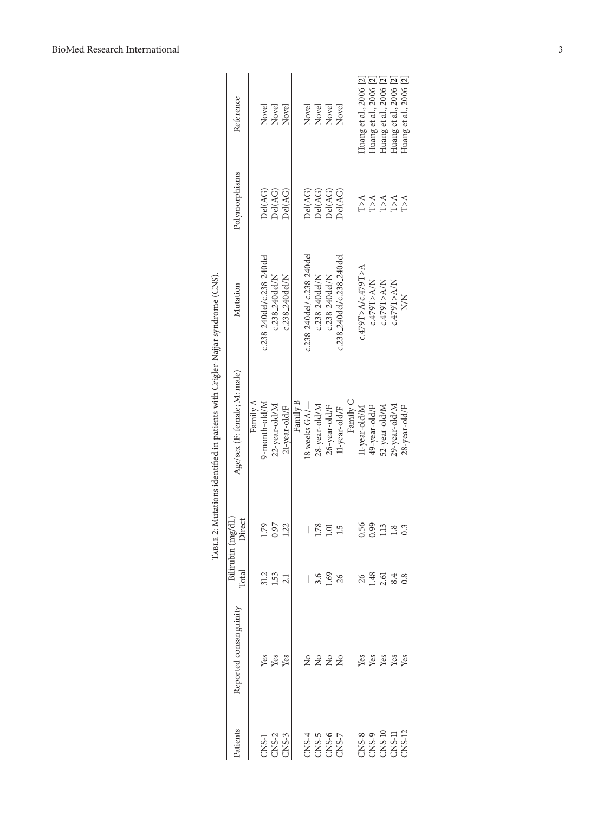<span id="page-2-0"></span>

|                                                                                                                                                                                       |                        |                                           | Bilirubin (mg/dL) | TABLE 2: Mutations identified in patients with Crigler-Najjar syndrome (CNS). |                            |                                                                        |                        |
|---------------------------------------------------------------------------------------------------------------------------------------------------------------------------------------|------------------------|-------------------------------------------|-------------------|-------------------------------------------------------------------------------|----------------------------|------------------------------------------------------------------------|------------------------|
| Patients                                                                                                                                                                              | Reported consanguinity | $_{\rm Total}$                            | Direct            | Age/sex (F: female; M: male)                                                  | Mutation                   | Polymorphisms                                                          | Reference              |
|                                                                                                                                                                                       |                        |                                           |                   | Family A                                                                      |                            |                                                                        |                        |
|                                                                                                                                                                                       |                        |                                           | 79                | 9-month-old/M                                                                 | c.238_240del/c.238_240del  | Del(AG)                                                                | Novel                  |
|                                                                                                                                                                                       | yes<br>Yes             | $\frac{31.2}{1.53}$                       | 0.97              | 22-year-old/M                                                                 | c.238_240del/N             | Del(AG)                                                                | Novel                  |
| CNS-1<br>CNS-2<br>CNS-3                                                                                                                                                               |                        |                                           | 22                | 21-year-old/F                                                                 | c.238_240del/N             | Del(AG)                                                                | Novel                  |
|                                                                                                                                                                                       |                        |                                           |                   | Family B                                                                      |                            |                                                                        |                        |
|                                                                                                                                                                                       |                        |                                           | I                 | 18 weeks $GA$ $-$                                                             | c.238_240del/ c.238_240del | Del(AG)                                                                | Novel                  |
|                                                                                                                                                                                       | 2222                   |                                           | 78.               | 28-year-old/M                                                                 | c.238_240del/N             | Del(AG)                                                                | Novel                  |
|                                                                                                                                                                                       |                        | 3.69<br>1.69<br>26                        | ē                 | 26-year-old/F                                                                 | c.238_240del/N             | Del(AG)                                                                | Novel                  |
| $28.5$<br>$-5.8$<br>$-5.8$<br>$-5.8$<br>$-5.8$<br>$-5.8$                                                                                                                              |                        |                                           | ۲ī                | 11-year-old/F                                                                 | c.238_240del/c.238_240del  | Del(AG)                                                                | Novel                  |
|                                                                                                                                                                                       |                        |                                           |                   | Family C                                                                      |                            |                                                                        |                        |
|                                                                                                                                                                                       |                        |                                           | 0.56              | 11-year-old/M                                                                 | c.479T>A/c.479T>A          |                                                                        | Huang et al., 2006 [2] |
|                                                                                                                                                                                       |                        |                                           | 0.99              | 49-year-old/F                                                                 | c.479T>A/N                 | $\begin{array}{c}\n 1 & 1 & 1 \\ 2 & 1 & 1 \\ 1 & 1 & 1\n \end{array}$ | Huang et al., 2006 [2] |
|                                                                                                                                                                                       |                        |                                           | 1.13              | 52-year-old/M                                                                 | c.479T>A/N                 |                                                                        | Huang et al., 2006 [2] |
| $\begin{array}{c} {\rm CSS}\text{-}8\\ {\rm CSS}\text{-}9\\ {\rm CMS}\text{-}10\\ {\rm CMS}\text{-}11\\ {\rm CMS}\text{-}11\\ {\rm CMS}\text{-}12\\ {\rm CS}\text{-}12\\ \end{array}$ | <b>និ</b> នី និងន      | $26$<br>$1.48$<br>$2.5$<br>$3.3$<br>$3.8$ | $\frac{8}{1}$     | 29-year-old/M                                                                 | c.479T>A/N                 |                                                                        | Huang et al., 2006 [2] |
|                                                                                                                                                                                       |                        |                                           |                   | 28-year-old/F                                                                 | X<br>X                     | $T>\Lambda$                                                            | Huang et al., 2006 [2] |
|                                                                                                                                                                                       |                        |                                           |                   |                                                                               |                            |                                                                        |                        |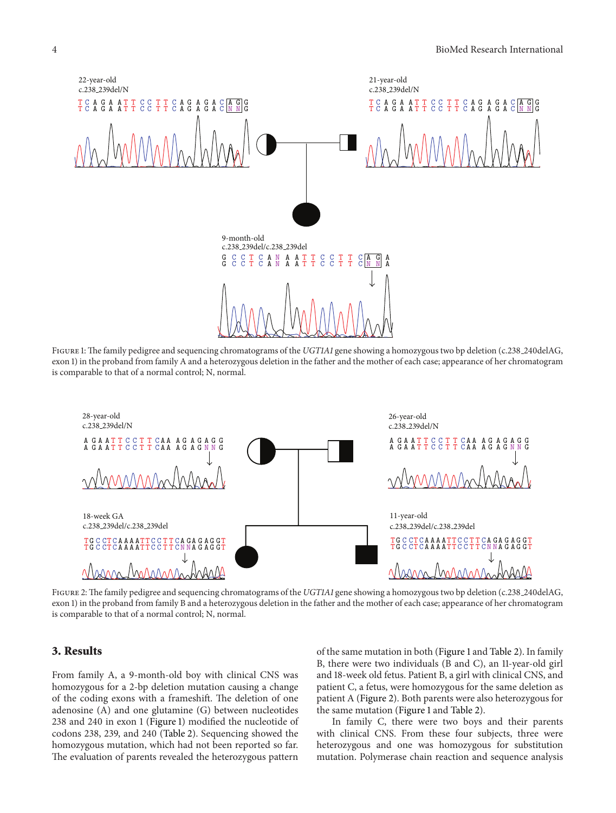

<span id="page-3-0"></span>Figure 1: The family pedigree and sequencing chromatograms of the *UGT1A1* gene showing a homozygous two bp deletion (c.238 240delAG, exon 1) in the proband from family A and a heterozygous deletion in the father and the mother of each case; appearance of her chromatogram is comparable to that of a normal control; N, normal.



<span id="page-3-1"></span>Figure 2: The family pedigree and sequencing chromatograms of the *UGT1A1* gene showing a homozygous two bp deletion (c.238 240delAG, exon 1) in the proband from family B and a heterozygous deletion in the father and the mother of each case; appearance of her chromatogram is comparable to that of a normal control; N, normal.

#### **3. Results**

From family A, a 9-month-old boy with clinical CNS was homozygous for a 2-bp deletion mutation causing a change of the coding exons with a frameshift. The deletion of one adenosine (A) and one glutamine (G) between nucleotides 238 and 240 in exon 1 [\(Figure 1\)](#page-3-0) modified the nucleotide of codons 238, 239, and 240 [\(Table 2\)](#page-2-0). Sequencing showed the homozygous mutation, which had not been reported so far. The evaluation of parents revealed the heterozygous pattern

of the same mutation in both [\(Figure 1](#page-3-0) and [Table 2\)](#page-2-0). In family B, there were two individuals (B and C), an 11-year-old girl and 18-week old fetus. Patient B, a girl with clinical CNS, and patient C, a fetus, were homozygous for the same deletion as patient A [\(Figure 2\)](#page-3-1). Both parents were also heterozygous for the same mutation [\(Figure 1](#page-3-0) and [Table 2\)](#page-2-0).

In family C, there were two boys and their parents with clinical CNS. From these four subjects, three were heterozygous and one was homozygous for substitution mutation. Polymerase chain reaction and sequence analysis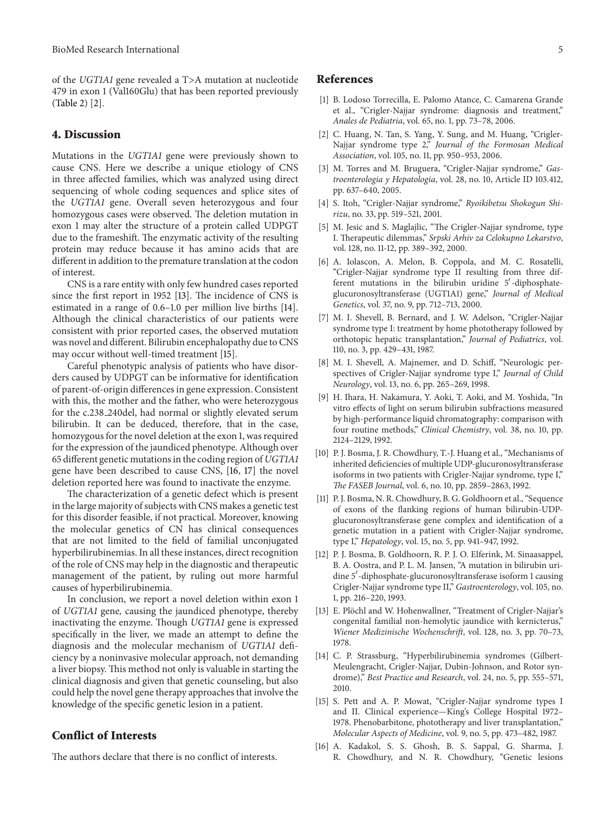of the *UGT1A1* gene revealed a T>A mutation at nucleotide 479 in exon 1 (Val160Glu) that has been reported previously [\(Table 2\)](#page-2-0) [\[2\]](#page-4-8).

#### **4. Discussion**

Mutations in the *UGT1A1* gene were previously shown to cause CNS. Here we describe a unique etiology of CNS in three affected families, which was analyzed using direct sequencing of whole coding sequences and splice sites of the *UGT1A1* gene. Overall seven heterozygous and four homozygous cases were observed. The deletion mutation in exon 1 may alter the structure of a protein called UDPGT due to the frameshift. The enzymatic activity of the resulting protein may reduce because it has amino acids that are different in addition to the premature translation at the codon of interest.

CNS is a rare entity with only few hundred cases reported since the first report in 1952 [\[13](#page-4-9)]. The incidence of CNS is estimated in a range of 0.6–1.0 per million live births [\[14\]](#page-4-10). Although the clinical characteristics of our patients were consistent with prior reported cases, the observed mutation was novel and different. Bilirubin encephalopathy due to CNS may occur without well-timed treatment [\[15\]](#page-4-11).

Careful phenotypic analysis of patients who have disorders caused by UDPGT can be informative for identification of parent-of-origin differences in gene expression. Consistent with this, the mother and the father, who were heterozygous for the c.238 240del, had normal or slightly elevated serum bilirubin. It can be deduced, therefore, that in the case, homozygous for the novel deletion at the exon 1, was required for the expression of the jaundiced phenotype. Although over 65 different genetic mutations in the coding region of *UGT1A1* gene have been described to cause CNS, [\[16](#page-4-12), [17\]](#page-5-0) the novel deletion reported here was found to inactivate the enzyme.

The characterization of a genetic defect which is present in the large majority of subjects with CNS makes a genetic test for this disorder feasible, if not practical. Moreover, knowing the molecular genetics of CN has clinical consequences that are not limited to the field of familial unconjugated hyperbilirubinemias. In all these instances, direct recognition of the role of CNS may help in the diagnostic and therapeutic management of the patient, by ruling out more harmful causes of hyperbilirubinemia.

In conclusion, we report a novel deletion within exon 1 of *UGT1A1* gene*,* causing the jaundiced phenotype, thereby inactivating the enzyme. Though *UGT1A1* gene is expressed specifically in the liver, we made an attempt to define the diagnosis and the molecular mechanism of *UGT1A1* deficiency by a noninvasive molecular approach, not demanding a liver biopsy. This method not only is valuable in starting the clinical diagnosis and given that genetic counseling, but also could help the novel gene therapy approaches that involve the knowledge of the specific genetic lesion in a patient.

#### **Conflict of Interests**

The authors declare that there is no conflict of interests.

#### <span id="page-4-0"></span>**References**

- <span id="page-4-1"></span>[1] B. Lodoso Torrecilla, E. Palomo Atance, C. Camarena Grande et al., "Crigler-Najjar syndrome: diagnosis and treatment," *Anales de Pediatria*, vol. 65, no. 1, pp. 73–78, 2006.
- <span id="page-4-8"></span>[2] C. Huang, N. Tan, S. Yang, Y. Sung, and M. Huang, "Crigler-Najjar syndrome type 2," *Journal of the Formosan Medical Association*, vol. 105, no. 11, pp. 950–953, 2006.
- [3] M. Torres and M. Bruguera, "Crigler-Najjar syndrome," *Gastroenterologia y Hepatologia*, vol. 28, no. 10, Article ID 103.412, pp. 637–640, 2005.
- [4] S. Itoh, "Crigler-Najjar syndrome," *Ryoikibetsu Shokogun Shirizu*, no. 33, pp. 519–521, 2001.
- [5] M. Jesic and S. Maglajlic, "The Crigler-Najjar syndrome, type I. Therapeutic dilemmas," *Srpski Arhiv za Celokupno Lekarstvo*, vol. 128, no. 11-12, pp. 389–392, 2000.
- <span id="page-4-2"></span>[6] A. Iolascon, A. Melon, B. Coppola, and M. C. Rosatelli, "Crigler-Najjar syndrome type II resulting from three different mutations in the bilirubin uridine 5 -diphosphateglucuronosyltransferase (UGT1A1) gene," *Journal of Medical Genetics*, vol. 37, no. 9, pp. 712–713, 2000.
- <span id="page-4-3"></span>[7] M. I. Shevell, B. Bernard, and J. W. Adelson, "Crigler-Najjar syndrome type I: treatment by home phototherapy followed by orthotopic hepatic transplantation," *Journal of Pediatrics*, vol. 110, no. 3, pp. 429–431, 1987.
- <span id="page-4-4"></span>[8] M. I. Shevell, A. Majnemer, and D. Schiff, "Neurologic perspectives of Crigler-Najjar syndrome type I," *Journal of Child Neurology*, vol. 13, no. 6, pp. 265–269, 1998.
- <span id="page-4-5"></span>[9] H. Ihara, H. Nakamura, Y. Aoki, T. Aoki, and M. Yoshida, "In vitro effects of light on serum bilirubin subfractions measured by high-performance liquid chromatography: comparison with four routine methods," *Clinical Chemistry*, vol. 38, no. 10, pp. 2124–2129, 1992.
- <span id="page-4-6"></span>[10] P. J. Bosma, J. R. Chowdhury, T.-J. Huang et al., "Mechanisms of inherited deficiencies of multiple UDP-glucuronosyltransferase isoforms in two patients with Crigler-Najjar syndrome, type I," *The FASEB Journal*, vol. 6, no. 10, pp. 2859–2863, 1992.
- [11] P. J. Bosma, N. R. Chowdhury, B. G. Goldhoorn et al., "Sequence of exons of the flanking regions of human bilirubin-UDPglucuronosyltransferase gene complex and identification of a genetic mutation in a patient with Crigler-Najjar syndrome, type I," *Hepatology*, vol. 15, no. 5, pp. 941–947, 1992.
- <span id="page-4-7"></span>[12] P. J. Bosma, B. Goldhoorn, R. P. J. O. Elferink, M. Sinaasappel, B. A. Oostra, and P. L. M. Jansen, "A mutation in bilirubin uridine 5 -diphosphate-glucuronosyltransferase isoform 1 causing Crigler-Najjar syndrome type II," *Gastroenterology*, vol. 105, no. 1, pp. 216–220, 1993.
- <span id="page-4-9"></span>[13] E. Plöchl and W. Hohenwallner, "Treatment of Crigler-Najjar's congenital familial non-hemolytic jaundice with kernicterus," *Wiener Medizinische Wochenschrift*, vol. 128, no. 3, pp. 70–73, 1978.
- <span id="page-4-10"></span>[14] C. P. Strassburg, "Hyperbilirubinemia syndromes (Gilbert-Meulengracht, Crigler-Najjar, Dubin-Johnson, and Rotor syndrome)," *Best Practice and Research*, vol. 24, no. 5, pp. 555–571, 2010.
- <span id="page-4-11"></span>[15] S. Pett and A. P. Mowat, "Crigler-Najjar syndrome types I and II. Clinical experience—King's College Hospital 1972– 1978. Phenobarbitone, phototherapy and liver transplantation," *Molecular Aspects of Medicine*, vol. 9, no. 5, pp. 473–482, 1987.
- <span id="page-4-12"></span>[16] A. Kadakol, S. S. Ghosh, B. S. Sappal, G. Sharma, J. R. Chowdhury, and N. R. Chowdhury, "Genetic lesions